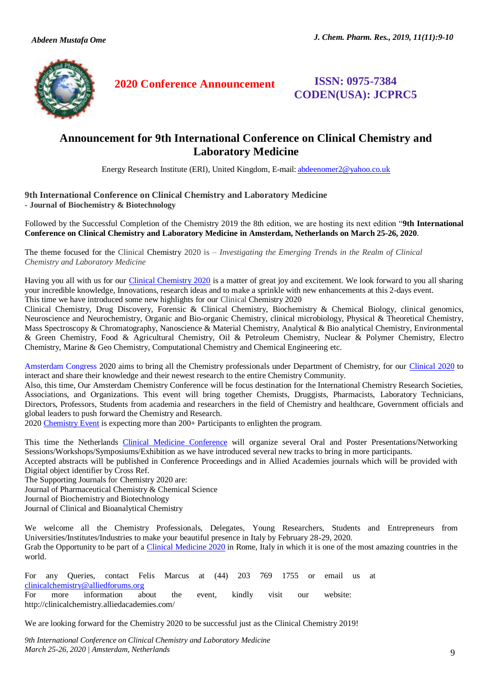

**2020 Conference Announcement ISSN: 0975-7384** 

**CODEN(USA): JCPRC5**

## **Announcement for 9th International Conference on Clinical Chemistry and Laboratory Medicine**

Energy Research Institute (ERI), United Kingdom, E-mail[: abdeenomer2@yahoo.co.uk](mailto:abdeenomer2@yahoo.co.uk)

## **9th International Conference on Clinical Chemistry and Laboratory Medicine - Journal of Biochemistry & Biotechnology**

Followed by the Successful Completion of the Chemistry 2019 the 8th edition, we are hosting its next edition "**9th International Conference on Clinical Chemistry and Laboratory Medicine in Amsterdam, Netherlands on March 25-26, 2020**.

The theme focused for the Clinical Chemistry 2020 is – *Investigating the Emerging Trends in the Realm of Clinical Chemistry and Laboratory Medicine*

Having you all with us for our [Clinical Chemistry 2020](http://clinicalchemistry.alliedacademies.com/) is a matter of great joy and excitement. We look forward to you all sharing your incredible knowledge, Innovations, research ideas and to make a sprinkle with new enhancements at this 2-days event. This time we have introduced some new highlights for our Clinical Chemistry 2020

Clinical [Chemistry,](http://chemistry.alliedacademies.com/events-list/medicinal-chemistry-rome) [Drug Discovery,](http://chemistry.alliedacademies.com/events-list/drug-discovery) [Forensic & Clinical Chemistry,](http://chemistry.alliedacademies.com/events-list/forensic-clinical-chemistry) [Biochemistry & Chemical Biology,](http://chemistry.alliedacademies.com/events-list/biochemistry-chemical-biology) [clinical](http://chemistry.alliedacademies.com/events-list/pharmaceutical-chemistry-rome) genomics,

[Neuroscience and Neurochemistry,](http://chemistry.alliedacademies.com/events-list/neuroscience-and-neurochemistry) [Organic and Bio-organic Chemistry,](http://chemistry.alliedacademies.com/events-list/organic-and-bio-organic-chemistry) [clinical](http://chemistry.alliedacademies.com/events-list/inorganic-chemistry-rome) microbiology, [Physical & Theoretical Chemistry,](http://chemistry.alliedacademies.com/events-list/physical-theoretical-chemistry) [Mass Spectroscopy & Chromatography,](http://chemistry.alliedacademies.com/events-list/mass-spectroscopy-chromatography) [Nanoscience & Material Chemistry,](http://chemistry.alliedacademies.com/events-list/nanoscience-material-chemistry) [Analytical & Bio analytical Chemistry,](http://chemistry.alliedacademies.com/events-list/analytical-bio-analytical-chemistry-rome) [Environmental](http://chemistry.alliedacademies.com/events-list/environmental-green-chemistry-rome)  [& Green Chemistry,](http://chemistry.alliedacademies.com/events-list/environmental-green-chemistry-rome) [Food & Agricultural Chemistry,](http://chemistry.alliedacademies.com/events-list/food-agricultural-chemistry) [Oil & Petroleum Chemistry,](http://chemistry.alliedacademies.com/events-list/oil-petroleum-chemistry) Nuclear & [Polymer Chemistry,](http://chemistry.alliedacademies.com/events-list/polymer-chemistry-rome) [Electro](http://chemistry.alliedacademies.com/events-list/electro-chemistry-rome)  [Chemistry,](http://chemistry.alliedacademies.com/events-list/electro-chemistry-rome) [Marine & Geo Chemistry,](http://chemistry.alliedacademies.com/events-list/marine-geo-chemistry-rome) [Computational Chemistry and Chemical Engineering](http://chemistry.alliedacademies.com/events-list/computational-chemistry-and-chemical-engineering) etc.

[Amsterdam Congress](http://clinicalchemistry.alliedacademies.com/) 2020 aims to bring all the Chemistry professionals under Department of Chemistry, for our [Clinical 2020](http://clinicalchemistry.alliedacademies.com/) to interact and share their knowledge and their newest research to the entire Chemistry Community.

Also, this time, Our Amsterdam Chemistry Conference will be focus destination for the International Chemistry Research Societies, Associations, and Organizations. This event will bring together Chemists, Druggists, Pharmacists, Laboratory Technicians, Directors, Professors, Students from academia and researchers in the field of Chemistry and healthcare, Government officials and global leaders to push forward the Chemistry and Research.

202[0 Chemistry Event](http://clinicalchemistry.alliedacademies.com/) is expecting more than 200+ Participants to enlighten the program.

This time the Netherlands [Clinical Medicine Conference](http://clinicalchemistry.alliedacademies.com/) will organize several Oral and Poster Presentations/Networking Sessions/Workshops/Symposiums/Exhibition as we have introduced several new tracks to bring in more participants.

Accepted abstracts will be published in Conference Proceedings and in Allied Academies journals which will be provided with Digital object identifier by Cross Ref.

The Supporting Journals for Chemistry 2020 are:

Journal of Pharmaceutical Chemistry & Chemical Science

Journal of Biochemistry and Biotechnology

Journal of Clinical and Bioanalytical Chemistry

We welcome all the Chemistry Professionals, Delegates, Young Researchers, Students and Entrepreneurs from Universities/Institutes/Industries to make your beautiful presence in Italy by February 28-29, 2020. Grab the Opportunity to be part of a [Clinical Medicine 2020](http://clinicalchemistry.alliedacademies.com/) in Rome, Italy in which it is one of the most amazing countries in the world.

For any Queries, contact Felis Marcus at (44) 203 769 1755 or email us at [clinicalchemistry@alliedforums.org](mailto:clinicalchemistry@alliedforums.org) For more information about the event, kindly visit our website: http://clinicalchemistry.alliedacademies.com/

We are looking forward for the Chemistry 2020 to be successful just as the Clinical Chemistry 2019!

*9th International Conference on Clinical Chemistry and Laboratory Medicine March 25-26, 2020 | Amsterdam, Netherlands* 9